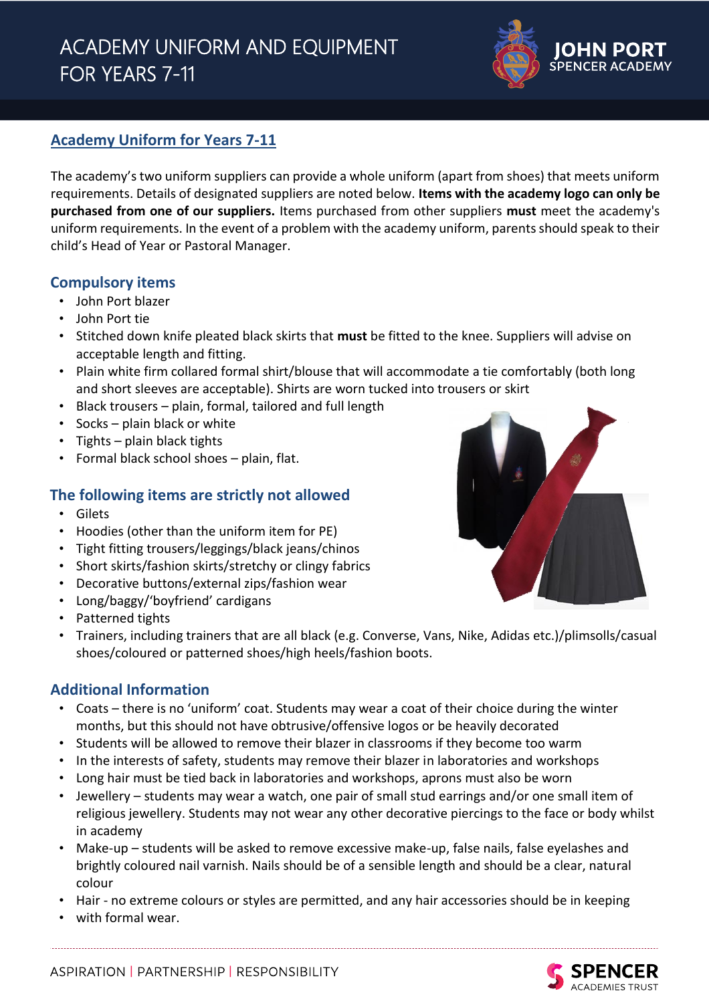# ACADEMY UNIFORM AND EQUIPMENT FOR YEARS 7-11



# **Academy Uniform for Years 7-11**

The academy's two uniform suppliers can provide a whole uniform (apart from shoes) that meets uniform requirements. Details of designated suppliers are noted below. **Items with the academy logo can only be purchased from one of our suppliers.** Items purchased from other suppliers **must** meet the academy's uniform requirements. In the event of a problem with the academy uniform, parents should speak to their child's Head of Year or Pastoral Manager.

# **Compulsory items**

- John Port blazer
- John Port tie
- Stitched down knife pleated black skirts that **must** be fitted to the knee. Suppliers will advise on acceptable length and fitting.
- Plain white firm collared formal shirt/blouse that will accommodate a tie comfortably (both long and short sleeves are acceptable). Shirts are worn tucked into trousers or skirt
- Black trousers plain, formal, tailored and full length
- Socks plain black or white
- Tights plain black tights
- Formal black school shoes plain, flat.

# **The following items are strictly not allowed**

- Gilets
- Hoodies (other than the uniform item for PE)
- Tight fitting trousers/leggings/black jeans/chinos
- Short skirts/fashion skirts/stretchy or clingy fabrics
- Decorative buttons/external zips/fashion wear
- Long/baggy/'boyfriend' cardigans
- Patterned tights
- Trainers, including trainers that are all black (e.g. Converse, Vans, Nike, Adidas etc.)/plimsolls/casual shoes/coloured or patterned shoes/high heels/fashion boots.

# **Additional Information**

- Coats there is no 'uniform' coat. Students may wear a coat of their choice during the winter months, but this should not have obtrusive/offensive logos or be heavily decorated
- Students will be allowed to remove their blazer in classrooms if they become too warm
- In the interests of safety, students may remove their blazer in laboratories and workshops
- Long hair must be tied back in laboratories and workshops, aprons must also be worn
- Jewellery students may wear a watch, one pair of small stud earrings and/or one small item of religious jewellery. Students may not wear any other decorative piercings to the face or body whilst in academy
- Make-up students will be asked to remove excessive make-up, false nails, false eyelashes and brightly coloured nail varnish. Nails should be of a sensible length and should be a clear, natural colour
- Hair no extreme colours or styles are permitted, and any hair accessories should be in keeping
- with formal wear.



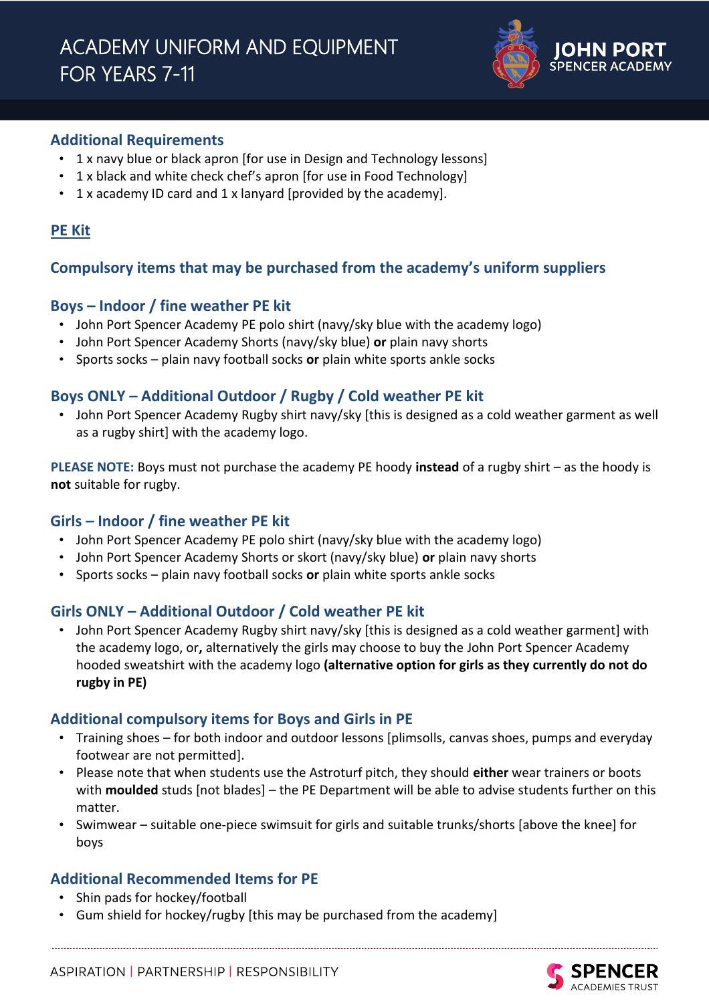

# **Additional Requirements**

- 1 x navy blue or black apron [for use in Design and Technology lessons]
- 1 x black and white check chef's apron [for use in Food Technology]
- 1 x academy ID card and 1 x lanyard [provided by the academy].

# **PE Kit**

# **Compulsory items that may be purchased from the academy's uniform suppliers**

# **Boys – Indoor / fine weather PE kit**

- John Port Spencer Academy PE polo shirt (navy/sky blue with the academy logo)
- John Port Spencer Academy Shorts (navy/sky blue) **or** plain navy shorts
- Sports socks plain navy football socks **or** plain white sports ankle socks

# **Boys ONLY – Additional Outdoor / Rugby / Cold weather PE kit**

• John Port Spencer Academy Rugby shirt navy/sky [this is designed as a cold weather garment as well as a rugby shirt] with the academy logo.

**PLEASE NOTE:** Boys must not purchase the academy PE hoody **instead** of a rugby shirt – as the hoody is **not** suitable for rugby.

# **Girls – Indoor / fine weather PE kit**

- John Port Spencer Academy PE polo shirt (navy/sky blue with the academy logo)
- John Port Spencer Academy Shorts or skort (navy/sky blue) **or** plain navy shorts
- Sports socks plain navy football socks **or** plain white sports ankle socks

# **Girls ONLY – Additional Outdoor / Cold weather PE kit**

• John Port Spencer Academy Rugby shirt navy/sky [this is designed as a cold weather garment] with the academy logo, or**,** alternatively the girls may choose to buy the John Port Spencer Academy hooded sweatshirt with the academy logo **(alternative option for girls as they currently do not do rugby in PE)**

# **Additional compulsory items for Boys and Girls in PE**

- Training shoes for both indoor and outdoor lessons [plimsolls, canvas shoes, pumps and everyday footwear are not permitted].
- Please note that when students use the Astroturf pitch, they should **either** wear trainers or boots with **moulded** studs [not blades] – the PE Department will be able to advise students further on this matter.
- Swimwear suitable one-piece swimsuit for girls and suitable trunks/shorts [above the knee] for boys

# **Additional Recommended Items for PE**

- Shin pads for hockey/football
- Gum shield for hockey/rugby [this may be purchased from the academy]